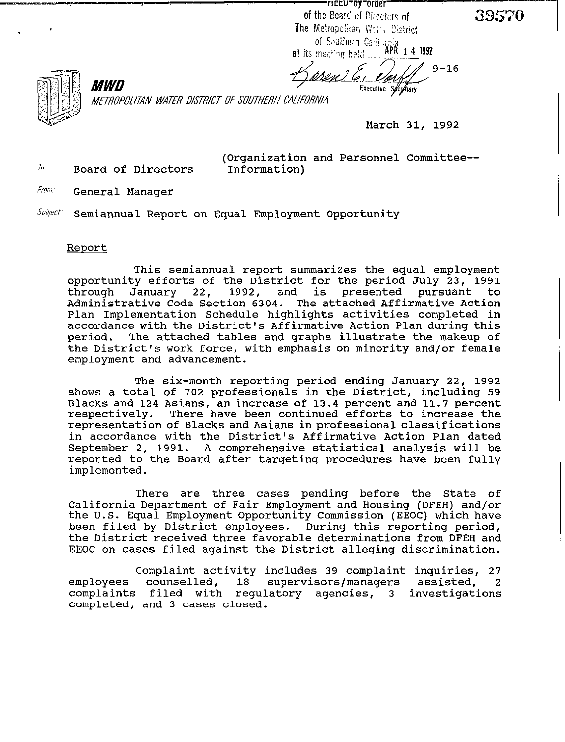rreev=oy=order of the Board of Directors of The Metropolitan Wets, District wearopolitan McChi District<br>of Southern Carlingha<br>meching hald **APR 14 1992** at its meeting held.

61

Executive Secretary



*,~//E~~&'IWTAN WATER DISTRICT Of SOLJ7HERN CALIFORNIA* 

March 31, 1992

 $9 - 16$ 

(Organization and Personnel Committee--  $\bar{a}$  Board of Directors Information)

pren)

Fram: General Manager

*MWD* 

 $\textit{Subject:}$  Semiannual Report on Equal Employment Opportunity

#### Report

This semiannual report summarizes the equal employment opportunity efforts of the District for the period July 23, 1991<br>through January 22, 1992, and is presented pursuant to 1992, and is presented Administrative Code Section 6304. The attached Affirmative Action Plan Implementation Schedule highlights activities completed in accordance with the District's Affirmative Action Plan during this<br>period. The attached tables and graphs illustrate the makeup of The attached tables and graphs illustrate the makeup of the District's work force, with emphasis on minority and/or female employment and advancement.

The six-month reporting period ending January 22, 1992 shows a total of 702 professionals in the District, including 59 Blacks and 124 Asians, an increase of 13.4 percent and 11.7 percent respectively. There have been continued efforts to increase the representation of Blacks and Asians in **professional classifications**  in accordance with the District's Affirmative Action Plan dated September 2, 1991. A comprehensive statistical analysis will be reported to the Board after targeting procedures have been fully implemented.

There are three cases pending before the State of California Department of Fair Employment and Housing (DFEH) and/or the U.S. Equal Employment Opportunity Commission (EEOC) which have been filed by District employees. During this reporting period, the District received three favorable determinations from DFEH and EEOC on cases filed against the District alleging discrimination.

Complaint activity includes 39 complaint inquiries, 27<br>counselled. 18 supervisors/managers assisted. 2 employees counselled, 18 supervisors/managers assisted, 2 complaints filed with regulatory agencies, 3 investigations completed, and 3 cases closed.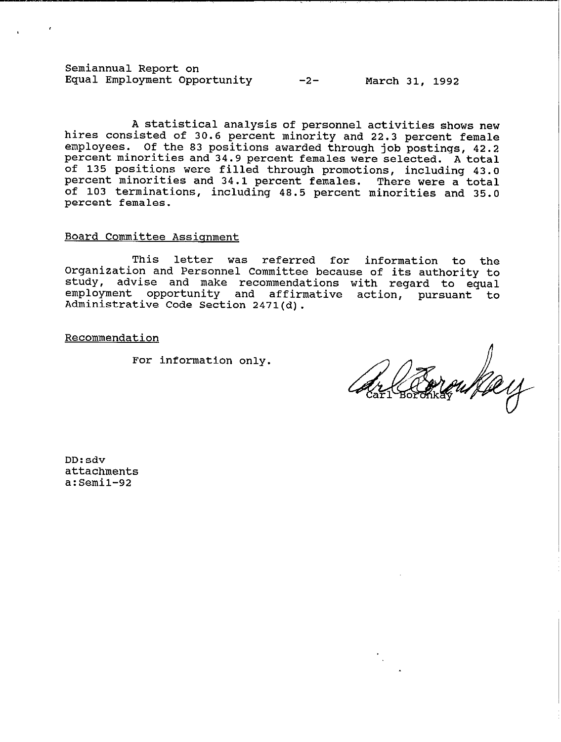Semiannual Report on Equal Employment Opportunity -2- March 31, 1992

A statistical analysis of personnel activities shows new hires consisted of 30.6 percent minority and 22.3 percent female employees. Of the 83 positions awarded through job postings, 42.2 percent minorities and 34.9 percent females were selected. A total of 135 positions were filled through promotions, including 43.0 percent minorities and 34.1 percent females. There were a total of 103 terminations, including 48.5 percent minorities and 35.0 percent females.

#### Board Committee Assionment

This letter was referred for information to the Organization and Personnel Committee because of its authoritv to study, advise and make recommendations with regard to equal employment opportunity and affirmative action, pursuant to Administrative Code Section 2471(d).

Recommendation

For information only.

May

DD:sdv attachments a:Semil-92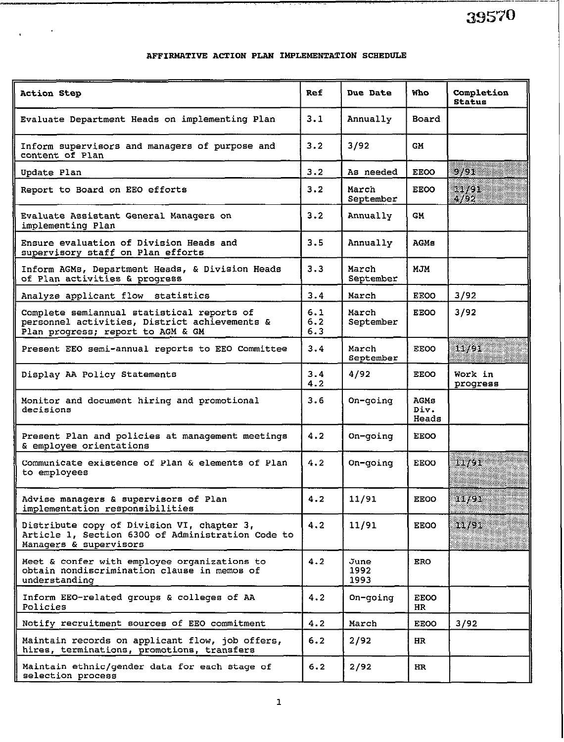#### **AFFIRMATIVE ACTION PLAN IMPLEMENTATION SCHEDULE**

,

 $\sim 10^{11}$  eV

| <b>Action Step</b>                                                                                                               | Ref               | <b>Due Date</b>      | <b>Who</b>            | Completion<br><b>Status</b> |
|----------------------------------------------------------------------------------------------------------------------------------|-------------------|----------------------|-----------------------|-----------------------------|
| Evaluate Department Heads on implementing Plan                                                                                   | 3.1               | Annually             | Board                 |                             |
| Inform supervisors and managers of purpose and<br>content of Plan                                                                | 3.2               | 3/92                 | GM.                   |                             |
| Update Plan                                                                                                                      | 3.2               | As needed            | <b>EEOO</b>           | 9791.                       |
| Report to Board on EEO efforts                                                                                                   | 3.2               | March<br>September   | <b>EEOO</b>           | 4792                        |
| Evaluate Assistant General Managers on<br>implementing Plan                                                                      | 3.2               | Annually             | GM.                   |                             |
| Ensure evaluation of Division Heads and<br>supervisory staff on Plan efforts                                                     | 3.5               | Annually             | AGMs                  |                             |
| Inform AGMs, Department Heads, & Division Heads<br>of Plan activities & progress                                                 | 3.3               | March<br>September   | <b>MJM</b>            |                             |
| Analyze applicant flow statistics                                                                                                | 3.4               | March                | <b>EEOO</b>           | 3/92                        |
| Complete semiannual statistical reports of<br>personnel activities, District achievements &<br>Plan progress; report to AGM & GM | 6.1<br>6.2<br>6.3 | March<br>September   | <b>EEOO</b>           | 3/92                        |
| Present EEO semi-annual reports to EEO Committee                                                                                 | 3.4               | March<br>September   | <b>EEOO</b>           | 11/91                       |
| Display AA Policy Statements                                                                                                     | 3.4<br>4.2        | 4/92                 | <b>EEOO</b>           | Work in<br>progress         |
| Monitor and document hiring and promotional<br>decisions                                                                         | 3.6               | On-going             | AGMs<br>Div.<br>Heads |                             |
| Present Plan and policies at management meetings<br>& employee orientations                                                      | 4.2               | On-going             | <b>EEOO</b>           |                             |
| Communicate existence of Plan & elements of Plan<br>to employees                                                                 | 4.2               | On-going             | <b>EEOO</b>           | W)                          |
| Advise managers & supervisors of Plan<br>implementation responsibilities                                                         | 4.2               | 11/91                | <b>EEOO</b>           | 11/91                       |
| Distribute copy of Division VI, chapter 3,<br>Article 1, Section 6300 of Administration Code to<br>Managers & supervisors        | 4.2               | 11/91                | <b>EEOO</b>           | 11/91                       |
| Meet & confer with employee organizations to<br>obtain nondiscrimination clause in memos of<br>understanding                     | 4.2               | June<br>1992<br>1993 | <b>ERO</b>            |                             |
| Inform EEO-related groups & colleges of AA<br>Policies                                                                           | 4.2               | On-going             | <b>EEOO</b><br>HR.    |                             |
| Notify recruitment sources of EEO commitment                                                                                     | 4.2               | March                | <b>EEOO</b>           | 3/92                        |
| Maintain records on applicant flow, job offers,<br>hires, terminations, promotions, transfers                                    | 6.2               | 2/92                 | HR.                   |                             |
| Maintain ethnic/gender data for each stage of<br>selection process                                                               | 6.2               | 2/92                 | HR.                   |                             |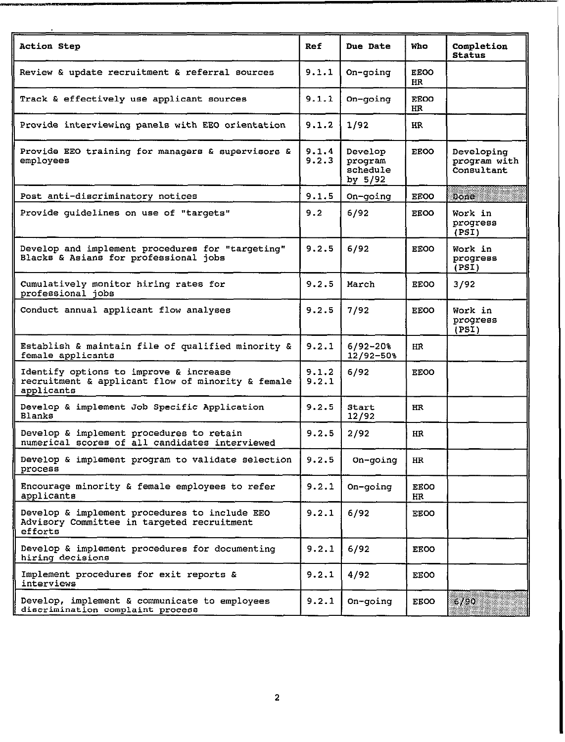| <b>Action Step</b>                                                                                        | Ref            | Due Date                                  | Who                | Completion<br><b>Status</b>              |
|-----------------------------------------------------------------------------------------------------------|----------------|-------------------------------------------|--------------------|------------------------------------------|
| Review & update recruitment & referral sources                                                            | 9.1.1          | On-going                                  | <b>EEOO</b><br>HR. |                                          |
| Track & effectively use applicant sources                                                                 | 9.1.1          | On-going                                  | <b>EEOO</b><br>HR. |                                          |
| Provide interviewing panels with EEO orientation                                                          | 9.1.2          | 1/92                                      | HR.                |                                          |
| Provide EEO training for managers & supervisors &<br>employees                                            | 9.1.4<br>9.2.3 | Develop<br>program<br>schedule<br>by 5/92 | <b>EEOO</b>        | Developing<br>program with<br>Consultant |
| Post anti-discriminatory notices                                                                          | 9.1.5          | On-going                                  | <b>ECOO</b>        | <b>Done</b>                              |
| Provide guidelines on use of "targets"                                                                    | 9.2            | 6/92                                      | <b>EEOO</b>        | Work in<br>progress<br>(PSI)             |
| Develop and implement procedures for "targeting"<br>Blacks & Asians for professional jobs                 | 9.2.5          | 6/92                                      | <b>EEOO</b>        | Work in<br>progress<br>(PSI)             |
| Cumulatively monitor hiring rates for<br>professional jobs                                                | 9.2.5          | March                                     | <b>EEOO</b>        | 3/92                                     |
| Conduct annual applicant flow analyses                                                                    | 9.2.5          | 7/92                                      | <b>EEOO</b>        | Work in<br>progress<br>(PSI)             |
| Establish & maintain file of qualified minority &<br>female applicants                                    | 9.2.1          | $6/92 - 20$ %<br>$12/92 - 50%$            | HR                 |                                          |
| Identify options to improve & increase<br>recruitment & applicant flow of minority & female<br>applicants | 9.1.2<br>9.2.1 | 6/92                                      | <b>EEOO</b>        |                                          |
| Develop & implement Job Specific Application<br><b>Blanks</b>                                             | 9.2.5          | Start<br>12/92                            | HR                 |                                          |
| Develop & implement procedures to retain<br>numerical scores of all candidates interviewed                | 9.2.5          | 2/92                                      | HR                 |                                          |
| Develop & implement program to validate selection<br>process                                              | 9.2.5          | On-going                                  | HR                 |                                          |
| Encourage minority & female employees to refer<br>applicants                                              | 9.2.1          | On-going                                  | <b>EEOO</b><br>HR. |                                          |
| Develop & implement procedures to include EEO<br>Advisory Committee in targeted recruitment<br>efforts    | 9.2.1          | 6/92                                      | <b>EEOO</b>        |                                          |
| Develop & implement procedures for documenting<br>hiring decisions                                        | 9.2.1          | 6/92                                      | <b>EEOO</b>        |                                          |
| Implement procedures for exit reports &<br>interviews                                                     | 9.2.1          | 4/92                                      | <b>EEOO</b>        |                                          |
| Develop, implement & communicate to employees<br>discrimination complaint process                         | 9.2.1          | On-going                                  | <b>EEOO</b>        | 6/90                                     |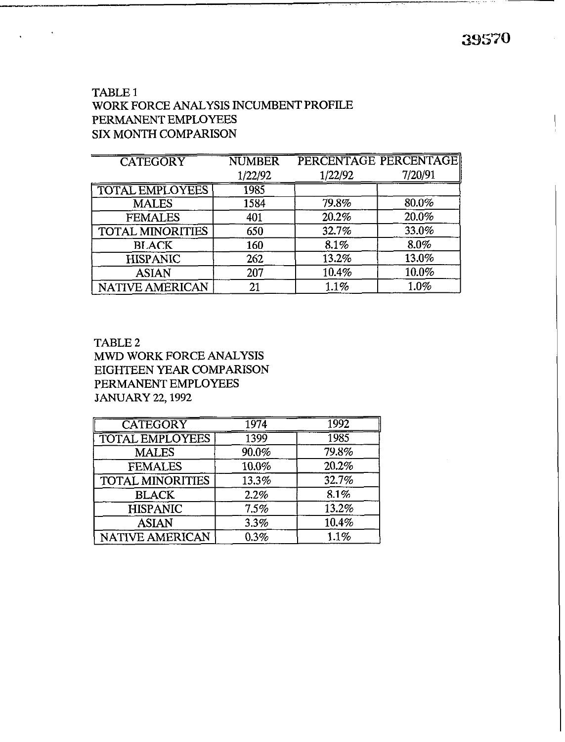#### **TABLE 1 WORK FORCE ANALYSIS INCUMBENT PROFILE PERMANENT EMPLOYEES SIX MONTH COMPARISON**

| <b>CATEGORY</b>         | <b>NUMBER</b> |         | PERCENTAGE PERCENTAGE |
|-------------------------|---------------|---------|-----------------------|
|                         | 1/22/92       | 1/22/92 | 7/20/91               |
| <b>TOTAL EMPLOYEES</b>  | 1985          |         |                       |
| <b>MALES</b>            | 1584          | 79.8%   | 80.0%                 |
| <b>FEMALES</b>          | 401           | 20.2%   | 20.0%                 |
| <b>TOTAL MINORITIES</b> | 650           | 32.7%   | 33.0%                 |
| <b>BLACK</b>            | 160           | 8.1%    | 8.0%                  |
| <b>HISPANIC</b>         | 262           | 13.2%   | 13.0%                 |
| <b>ASIAN</b>            | 207           | 10.4%   | 10.0%                 |
| <b>NATIVE AMERICAN</b>  | 21            | 1.1%    | 1.0%                  |

**TABLE 2 MWD WORK FORCE ANALYSIS EIGHTEEN YEAR COMPARISON PERMANENT EMPLOYEES JANUARY 22,1992** 

| <b>CATEGORY</b>         | 1974  | 1992  |
|-------------------------|-------|-------|
| <b>TOTAL EMPLOYEES</b>  | 1399  | 1985  |
| <b>MALES</b>            | 90.0% | 79.8% |
| <b>FEMALES</b>          | 10.0% | 20.2% |
| <b>TOTAL MINORITIES</b> | 13.3% | 32.7% |
| <b>BLACK</b>            | 2.2%  | 8.1%  |
| <b>HISPANIC</b>         | 7.5%  | 13.2% |
| <b>ASIAN</b>            | 3.3%  | 10.4% |
| NATIVE AMERICAN         | 0.3%  | 1.1%  |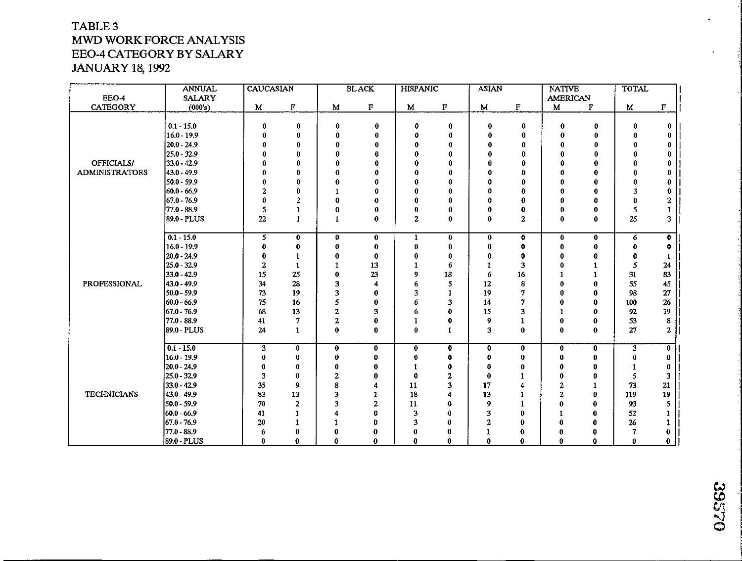#### TABLE 3 MWD WORK FORCE ANALYSIS EEO-4 CATEGORY BY SALARY **JANUARY 18, 1992**

|                       | <b>ANNUAL</b>      | <b>CAUCASIAN</b>        |                |                  | <b>BLACK</b>     | <b>HISPANIC</b>         |                | <b>ASIAN</b> |                  | <b>NATIVE</b>   |              | <b>TOTAL</b> |              |
|-----------------------|--------------------|-------------------------|----------------|------------------|------------------|-------------------------|----------------|--------------|------------------|-----------------|--------------|--------------|--------------|
| EEO-4                 | <b>SALARY</b>      |                         |                |                  |                  |                         |                |              |                  | <b>AMERICAN</b> |              |              |              |
| <b>CATEGORY</b>       | (000's)            | M                       | $\mathbf{F}$   | $\mathbf M$      | $\mathbf{F}$     | $\mathbf M$             | $\mathbf F$    | $\mathbf M$  | $\mathbf F$      | M               | F            | $\mathbf{M}$ | $\mathbf{F}$ |
|                       |                    |                         |                |                  |                  |                         |                |              |                  |                 |              |              |              |
|                       | $0.1 - 15.0$       | 0                       | $\bf{0}$       | 0                | $\bf{0}$         | 0                       | $\bf{0}$       | 0            | 0                | $\bf{0}$        | 0            | 0            | $\mathbf 0$  |
|                       | 16.0 - 19.9        | $\bf{0}$                | $\bf{0}$       | 0                | 0                | 0                       | 0              | 0            | 0                | $\mathbf 0$     | 0            | 0            | 0            |
|                       | $20.0 - 24.9$      | $\bf{0}$                | $\bf{0}$       | 0                | $\bf{0}$         | 0                       | $\theta$       | A            | 0                | $\bf{0}$        | 0            |              | 0            |
|                       | 25.0 - 32.9        | $\mathbf 0$             | $\bf{0}$       | 0                | $\bf{0}$         | 0                       | 0              | 0            | $\theta$         | $\mathbf{0}$    | n            |              | 0            |
| OFFICIALS/            | 33.0 - 42.9        | $\theta$                | 0              | $\theta$         | $\bf{0}$         | 0                       | 0              | A            | 0                | 0               | 0            |              | 0            |
| <b>ADMINISTRATORS</b> | 43.0 - 49.9        | $\theta$                | 0              | $\bf{0}$         | $\Omega$         | $\mathbf o$             | 0              | 0            | $\theta$         | 0               | Λ            |              | Ω            |
|                       | 50.0 - 59.9        | $\mathbf{0}$            | 0              | $\bf{0}$         | 0                | 0                       | 0              | o            | $\bf{0}$         | 0               | 0            |              | 0            |
|                       | 60.0 - 66.9        | $\overline{\mathbf{c}}$ | 0              | 1                | 0                | $\bf{0}$                | 0              | A            | $\boldsymbol{0}$ | 0               | 0            | 3            |              |
|                       | 67.0 - 76.9        | $\mathbf 0$             | $\overline{c}$ | 0                | $\bf{0}$         | $\bf{0}$                | $\bf{0}$       | o            | $\bf{0}$         | $\mathbf{0}$    | ٥            |              | 2            |
|                       | 77.0 - 88.9        | 5                       | $\mathbf{1}$   | 0                | $\boldsymbol{0}$ | $\bf{0}$                | $\bf{0}$       | 0            | 0                | $\bf{0}$        | 0            | 5            |              |
|                       | <b>89.0 - PLUS</b> | 22                      | $\mathbf{1}$   | $\mathbf{1}$     | $\mathbf 0$      | $\overline{\mathbf{2}}$ | $\bf{0}$       | 0            | $\overline{2}$   | $\bf{0}$        | $\mathbf 0$  | 25           | 3            |
|                       |                    |                         |                |                  |                  |                         |                |              |                  |                 |              |              |              |
|                       | $0.1 - 15.0$       | 5.                      | $\bf{0}$       | 0                | $\bf{0}$         | $\mathbf{1}$            | $\mathbf 0$    | 0            | 0                | $\mathbf{0}$    | $\bf{0}$     | 6            | $\mathbf{0}$ |
|                       | $16.0 - 19.9$      | $\bf{0}$                | 0              | $\bf{0}$         | 0                | $\mathbf 0$             | 0              | 0            | 0                | 0               | 0            | 0            | 0            |
|                       | $20.0 - 24.9$      | $\bf{0}$                | $\mathbf{1}$   | $\bf{0}$         | 0                | $\bf{0}$                | 0              |              | 0                | $\bf{0}$        | 0            | Ω            |              |
|                       | 25.0 - 32.9        | 2                       | $\mathbf{1}$   | $\mathbf{1}$     | 13               | $\mathbf{1}$            | 6              |              | 3                | $\bf{0}$        |              | 5            | $24\,$       |
|                       | 33.0 - 42.9        | 15                      | 25             | $\bf{0}$         | 23               | 9                       | 18             | 6            | 16               | 1               |              | 31           | 83           |
| PROFESSIONAL          | 43.0 - 49.9        | 34                      | 28             | 3                | 4                | 6                       | 5              | 12           | 8                | 0               | 0            | 55           | 45           |
|                       | 50.0 - 59.9        | 73                      | 19             | 3                | 0                | 3                       | $\mathbf{1}$   | 19           | 7                | 0               | 0            | 98           | 27           |
|                       | $60.0 - 66.9$      | 75                      | 16             | 5                | $\bf{0}$         | 6                       | 3              | 14           | $\mathcal I$     | $\bf{0}$        | 0            | 100          | 26           |
|                       | 67.0 - 76.9        | 68                      | 13             | 2                | 3                | 6                       | $\bf{0}$       | 15           | 3                | 1               | 0            | 92           | 19           |
|                       | 77.0 - 88.9        | 41                      | 7              | $\mathbf{z}$     | 0                | $\mathbf{1}$            | 0              | 9            | $\mathbf{1}$     | $\mathbf 0$     | $\mathbf 0$  | 53           | 8            |
|                       | 89.0 - PLUS        | 24                      | $\mathbf{1}$   | $\bf{0}$         | $\bf{0}$         | $\mathbf{0}$            | $\mathbf{I}$   | 3            | $\bf{0}$         | $\bf{0}$        | $\mathbf 0$  | 27           | $\mathbf{z}$ |
|                       |                    |                         |                |                  |                  |                         |                |              |                  |                 |              |              |              |
|                       | $0.1 - 15.0$       | $\overline{3}$          | $\bf{0}$       | $\bf{0}$         | 0                | $\mathbf{0}$            | 0              | 0            | 0                | $\mathbf{0}$    | $\mathbf{0}$ | 3            | Ō.           |
|                       | $16.0 - 19.9$      | $\bf{0}$                | 0              | $\bf{0}$         | 0                | $\mathbf{0}$            | 0              | 0            | 0                | 0               | 0            |              | $\mathbf 0$  |
|                       | 20.0 - 24.9        | $\Omega$                | 0              | 0                | 0                | 1                       | 0              | Û            | 0                | $\bf{0}$        | 0            |              | 0            |
|                       | $25.0 - 32.9$      | 3                       | $\mathbf{0}$   | $\boldsymbol{2}$ | 0                | $\mathbf 0$             | $\overline{c}$ | 0            |                  | $\bf{0}$        | 0            | 5            | 3            |
|                       | 33.0 - 42.9        | 35                      | 9              | 8                | 4                | 11                      | 3              | 17           | 4                | 2               |              | 73           | 21           |
| <b>TECHNICIANS</b>    | 43.0 - 49.9        | 83                      | 13             | 3                | 1                | 18                      | 4              | 13           |                  | $\overline{2}$  | $\bf{0}$     | 119          | 19           |
|                       | 50.0 - 59.9        | 70                      | $\overline{2}$ | 3                | $\overline{2}$   | 11                      | 0              | 9            | 1                | 0               | 0            | 93           | 5            |
|                       | 60.0 - 66.9        | 41                      | 1              | $\overline{4}$   | Ô                | 3                       | 0              | 3            | Λ                | $\blacksquare$  | 0            | 52           |              |
|                       | 67.0 - 76.9        | 20                      | 1              | $\mathbf{1}$     | Ω                | 3                       | Û              | 2            | A                | 0               | 0            | 26           |              |
|                       | 77.0 - 88.9        | 6                       | $\mathbf 0$    | 0                |                  |                         |                |              | Λ                |                 |              | 7            |              |
|                       | 89.0 - PLUS        | O.                      | $\mathbf o$    | $\theta$         | 0                | $\bf{0}$                | 0              | 0            | 0                | 0               | 0            | 0            | 0            |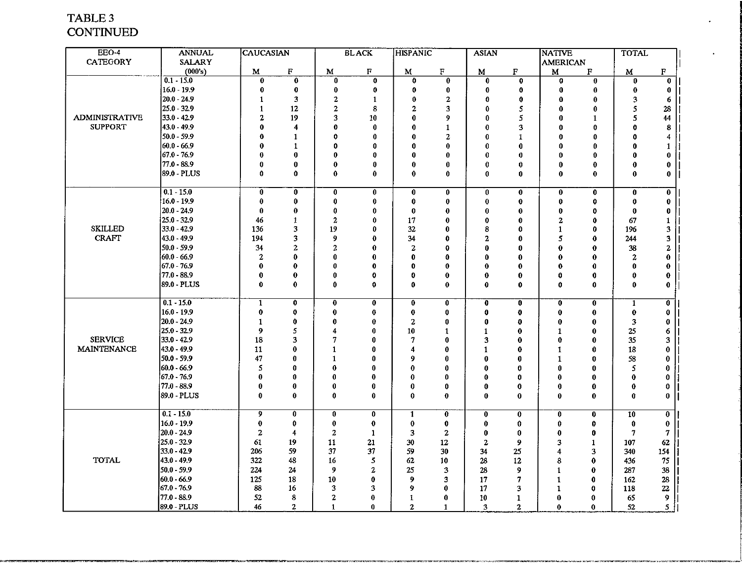### TABLE 3 **CONTINUED**

| $EEO-4$               | <b>ANNUAL</b> | CAUCASIAN               |                         |                         | <b>BLACK</b>            | <b>HISPANIC</b>         |                         | <b>ASIAN</b>   |                         | <b>NATIVE</b>             |                         | <b>TOTAL</b>     |                         |
|-----------------------|---------------|-------------------------|-------------------------|-------------------------|-------------------------|-------------------------|-------------------------|----------------|-------------------------|---------------------------|-------------------------|------------------|-------------------------|
| <b>CATEGORY</b>       | <b>SALARY</b> |                         |                         |                         |                         |                         |                         |                |                         | <b>AMERICAN</b>           |                         |                  |                         |
|                       | (000's)       | М                       | $_{\rm F}$              | $\mathbf M$             | F                       | M                       | F                       | M              | $\mathbf F$             | M                         | F                       | $\mathbf M$      | $\mathbf F$             |
|                       | $0.1 - 15.0$  | $\mathbf 0$             | $\bf{0}$                | $\bf{0}$                | 0                       | 0                       | $\overline{\mathbf{0}}$ | $\bullet$      | $\mathbf 0$             | 0                         | $\bf{0}$                | $\bf{0}$         | $\overline{\mathbf{0}}$ |
|                       | $16.0 - 19.9$ | $\bf{0}$                | $\bf{0}$                | $\bf{0}$                | 0                       | 0                       | $\bf{0}$                | 0              | 0                       | 0                         | 0                       | $\bf{0}$         | 0                       |
|                       | $20.0 - 24.9$ | $\mathbf{1}$            | 3                       | 2                       | 1                       | 0                       | $\bf{2}$                | A              | 0                       | 0                         | 0                       | 3                | 6                       |
|                       | 25.0 - 32.9   | $\mathbf{1}$            | 12                      | $\overline{2}$          | 8                       | 2                       | 3                       |                | 5                       | 0                         | 0                       | 5                | 28                      |
| <b>ADMINISTRATIVE</b> | $33.0 - 42.9$ | $\mathbf{z}$            | 19                      | 3                       | 10                      | 0                       | 9                       | Ñ              | 5                       | 0                         | 1                       | 5                | 44                      |
| <b>SUPPORT</b>        | 43.0 - 49.9   | $\bf{0}$                | 4                       | $\boldsymbol{0}$        | $\bf{0}$                | 0                       | $\mathbf{1}$            |                | 3                       | 0                         | 0                       |                  | 8                       |
|                       | 50.0 - 59.9   | $\theta$                | $\mathbf{1}$            | 0                       | 0                       | 0                       | $\mathbf{z}$            | O              | 1                       | 0                         | 0                       |                  | 4                       |
|                       | $60.0 - 66.9$ | $\bf{0}$                | $\mathbf{1}$            | $\bf{0}$                | 0                       | 0                       | $\bf{0}$                |                | 0                       | 0                         | 0                       |                  | 1                       |
|                       | $67.0 - 76.9$ | $\bf{0}$                | $\bf{0}$                | $\bf{0}$                | 0                       | 0                       | $\bf{0}$                | 0              | 0                       | 0                         | 0                       | 0                | 0                       |
|                       | $77.0 - 88.9$ | $\boldsymbol{0}$        | 0                       | $\bf{0}$                | $\bf{0}$                | 0                       | $\bf{0}$                | 0              | 0                       | 0                         | 0                       | 0                | 0                       |
|                       | 89.0 - PLUS   | $\mathbf 0$             | $\bf{0}$                | $\bf{0}$                | $\bf{0}$                | $\mathbf 0$             | $\bf{0}$                | 0              | 0                       | $\bf{0}$                  | 0                       | 0                | 0                       |
|                       |               |                         |                         |                         |                         |                         |                         |                |                         |                           |                         |                  |                         |
|                       | $0.1 - 15.0$  | $\overline{\mathbf{0}}$ | $\overline{0}$          | $\overline{\mathbf{0}}$ | $\overline{\mathbf{0}}$ | $\overline{\mathbf{0}}$ | $\bf{0}$                | $\bf{0}$       | $\bf{0}$                | $\bf{0}$                  | $\bf{0}$                | $\mathbf{0}$     | $\bf{0}$                |
|                       | $16.0 - 19.9$ | $\bf{0}$                | $\bf{0}$                | 0                       | 0                       | 0                       | $\boldsymbol{0}$        | $\mathbf 0$    | 0                       | 0                         | 0                       | 0                | 0                       |
|                       | $20.0 - 24.9$ | $\mathbf 0$             | $\mathbf 0$             | $\mathbf 0$             | 0                       | $\mathbf 0$             | $\mathbf 0$             | 0              | $\bf{0}$                | 0                         | 0                       | 0                | 0                       |
|                       | 25.0 32.9     | 46                      | $\mathbf{1}$            | $\overline{2}$          | 0                       | 17                      | $\bf{0}$                | 0              | 0                       | $\overline{2}$            | 0                       | 67               | $\mathbf{1}$            |
| <b>SKILLED</b>        | 33.0 - 42.9   | 136                     | 3                       | 19                      | 0                       | 32                      | $\mathbf 0$             | 8              | 0                       | $\mathbf{1}$              | 0                       | 196              | 3                       |
| <b>CRAFT</b>          | 43.0 - 49.9   | 194                     | 3                       | 9                       | 0                       | 34                      | $\mathbf{0}$            | $\mathbf{z}$   | Ô                       | 5                         | 0                       | 244              | 3                       |
|                       | 50.0 59.9     | 34                      | $\overline{2}$          | $\mathbf{2}$            | $\bf{0}$                | $\overline{2}$          | $\mathbf 0$             | $\bf{0}$       | $\bf{0}$                | 0                         | 0                       | 38               | $\mathbf 2$             |
|                       | 60.0 - 66.9   | $\overline{2}$          | 0                       | $\bf{0}$                | 0                       | 0                       | $\bf{0}$                | 0              | $\boldsymbol{0}$        | 0                         | 0                       | $\boldsymbol{2}$ | $\bf{0}$                |
|                       | 67.0 - 76.9   | $\bf{0}$                | 0                       | 0                       | 0                       | 0                       | $\bf{0}$                | 0              | $\bf{0}$                | 0                         | 0                       | $\mathbf{0}$     | 0                       |
|                       | $77.0 - 88.9$ | $\bf{0}$                | $\bf{0}$                | $\bf{0}$                |                         |                         |                         |                |                         |                           |                         |                  |                         |
|                       |               |                         |                         |                         | 0                       | 0                       | 0                       | $\mathbf 0$    | $\bf{0}$                | 0                         | 0                       | 0                | 0                       |
|                       | 89.0 - PLUS   | $\bf{0}$                | 0                       | 0                       | 0                       | $\mathbf 0$             | $\bf{0}$                | $\bf{0}$       | $\bf{0}$                | 0                         | $\bf{0}$                | $\bf{0}$         | 0                       |
|                       | $0.1 - 15.0$  | $\overline{1}$          | $\overline{\mathbf{0}}$ | $\overline{\mathbf{0}}$ | $\overline{\mathbf{0}}$ | $\overline{0}$          | $\overline{\mathbf{0}}$ | $\mathbf{0}$   | $\bf{0}$                | $\bf{0}$                  | $\bf{0}$                | $\mathbf{1}$     | 0                       |
|                       | $16.0 - 19.9$ | $\bf{0}$                | 0                       | 0                       | $\bf{0}$                | $\bf{0}$                | 0                       | $\bf{0}$       | 0                       | $\bf{0}$                  | $\bf{0}$                | $\bf{0}$         | 0                       |
|                       | 20.0 - 24.9   | $\mathbf{1}$            | 0                       | 0                       | $\bf{0}$                | $\overline{2}$          | 0                       | 0              | 0                       | $\bf{0}$                  | $\bf{0}$                | 3                | 0                       |
|                       | $25.0 - 32.9$ | 9                       | 5                       | 4                       | $\bf{0}$                | 10                      | 1                       | 1              | 0                       | 1                         | 0                       | 25               | 6                       |
| <b>SERVICE</b>        | $33.0 - 42.9$ | 18                      | 3                       | 7                       | $\bf{0}$                | 7                       | 0                       | 3              | 0                       | 0                         | 0                       | 35               | 3                       |
| <b>MAINTENANCE</b>    | $43.0 - 49.9$ | 11                      | $\bf{0}$                | $\mathbf{1}$            | 0                       | 4                       | 0                       | 1              | 0                       | $\mathbf{1}$              | 0                       | 18               | 0                       |
|                       | 50.0 - 59.9   | 47                      | $\bf{0}$                | $\mathbf{1}$            | 0                       | 9                       | 0                       | Ω              | 0                       | $\mathbf{1}$              | 0                       | 58               | 0                       |
|                       | $60.0 - 66.9$ | 5                       | $\mathbf 0$             | $\bf{0}$                | $\bf{0}$                | 0                       | 0                       | Ω              | 0                       | 0                         | 0                       | 5                | 0                       |
|                       | 67.0 - 76.9   | $\mathbf 0$             | $\mathbf{0}$            | $\mathbf 0$             | $\bf{0}$                | 0                       | 0                       | Λ              | 0                       | $\mathbf 0$               | 0                       | $\mathbf 0$      | 0                       |
|                       | 77.0 88.9     | $\mathbf 0$             | $\mathbf 0$             | $\mathbf{0}$            | 0                       | $\bf{0}$                | 0                       | 0              | 0                       | $\bf{0}$                  | 0                       | $\mathbf 0$      | 0                       |
|                       | 89.0 - PLUS   | $\mathbf{0}$            | $\mathbf 0$             | $\bf{0}$                | 0                       | $\mathbf 0$             | $\mathbf 0$             | $\mathbf 0$    | $\bf{0}$                | $\bf{0}$                  | 0                       | $\bf{0}$         | 0                       |
|                       |               |                         |                         |                         |                         |                         |                         |                |                         |                           |                         |                  |                         |
|                       | $0.1 - 15.0$  | $\overline{9}$          | $\overline{\mathbf{0}}$ | $\bf{0}$                | $\overline{\mathbf{0}}$ | $\overline{1}$          | $\overline{0}$          | $\overline{0}$ | $\overline{\mathbf{0}}$ | $\overline{\mathfrak{o}}$ | $\overline{\mathbf{0}}$ | $\overline{10}$  | $\overline{\mathbf{0}}$ |
|                       | $16.0 - 19.9$ | $\mathbf 0$             | 0                       | $\bf{0}$                | 0                       | $\bf{0}$                | $\bf{0}$                | $\bf{0}$       | 0                       | 0                         | 0                       | $\mathbf{0}$     | $\bf{0}$                |
|                       | 20.0 - 24.9   | $\mathbf{2}$            | $\overline{\mathbf{4}}$ | $\boldsymbol{2}$        | $\mathbf{1}$            | 3                       | $\mathbf{z}$            | 0              | 0                       | $\boldsymbol{0}$          | 0                       | 7                | 7                       |
|                       | 25.0 - 32.9   | 61                      | 19                      | 11                      | 21                      | 30                      | 12                      | $\overline{2}$ | 9                       | 3                         | 1                       | 107              | 62                      |
|                       | $33.0 - 42.9$ | 206                     | 59                      | 37                      | 37                      | 59                      | 30                      | 34             | 25                      | $\overline{4}$            | 3                       | 340              | 154                     |
| <b>TOTAL</b>          | 43.0 - 49.9   | 322                     | 48                      | 16                      | 5                       | 62                      | 10                      | 28             | 12                      | 8                         | 0                       | 436              | 75                      |
|                       | 50.0 - 59.9   | 224                     |                         | 9                       | 2                       |                         |                         |                |                         |                           |                         |                  |                         |
|                       |               |                         | 24                      |                         |                         | 25                      | 3                       | 28             | 9                       | 1                         | 0                       | 287              | 38                      |
|                       | 60.0 - 66.9   | 125                     | 18                      | 10                      | 0                       | 9                       | 3                       | 17             | 7                       | 1                         | 0                       | 162              | 28                      |
|                       | $67.0 - 76.9$ | 88                      | 16                      | 3                       | 3                       | 9                       | 0                       | 17             | 3                       | $\mathbf{1}$              | 0                       | 118              | 22                      |
|                       | 77.0 - 88.9   | 52                      | 8                       | 2                       | 0                       | 1                       | 0                       | 10             | $\mathbf{1}$            | $\bf{0}$                  | 0                       | 65               | 9                       |
|                       | 89.0 - PLUS   | 46                      | $\overline{2}$          | $\mathbf{1}$            | 0                       | $\overline{2}$          | $\mathbf{1}$            | 3              | $\mathbf{z}$            | $\bf{0}$                  | 0                       | 52               | 5                       |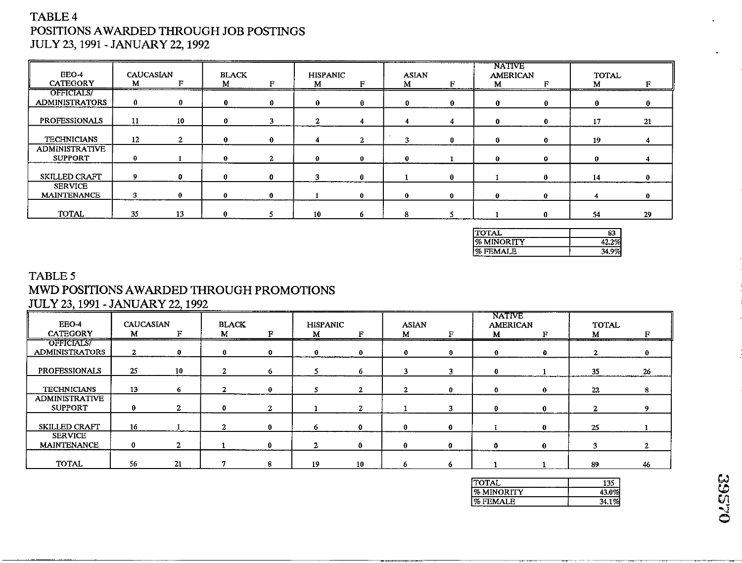#### **TABLE 4 POSITIONS AWARDED THROUGH JOB POSTINGS JULY 23,1991 -JANUARY 22,1992**

| EEO-4<br><b>CATEGORY</b>                | <b>CAUCASIAN</b><br>М | R            | M        | <b>BLACK</b><br>F<br>м |              | <b>HISPANIC</b><br><b>ASIAN</b><br>⊷<br>м |    |          | <b>NATIVE</b><br><b>AMERICAN</b><br>М |          | <b>TOTAL</b><br>М |    |
|-----------------------------------------|-----------------------|--------------|----------|------------------------|--------------|-------------------------------------------|----|----------|---------------------------------------|----------|-------------------|----|
| OFFICIALS/                              |                       |              |          |                        |              |                                           |    |          |                                       |          |                   |    |
| <b>ADMINISTRATORS</b>                   | $\mathbf{0}$          |              |          | 0                      | 0            | 0                                         | 0  | $\bf{0}$ | $\mathbf 0$                           | $\bf{0}$ |                   | u. |
| <b>PROFESSIONALS</b>                    | 11                    | 10           | 0        | 3                      |              |                                           |    |          | $\mathbf 0$                           | $\bf{0}$ | 17                | 21 |
| <b>TECHNICIANS</b>                      | 12                    | $\mathbf{2}$ | $\bf{0}$ | $\bf{0}$               |              |                                           |    | 0        | 0                                     | 0        | 19                |    |
| <b>ADMINISTRATIVE</b><br><b>SUPPORT</b> | 0                     |              | $\bf{0}$ | $\mathbf{z}$           | $\mathbf{0}$ | $\mathbf{0}$                              | 0  |          | $\mathbf 0$                           | 0        |                   |    |
| <b>SKILLED CRAFT</b>                    | 9                     | 0            | 0        | $\mathbf{0}$           |              | $\mathbf{0}$                              |    | 0        |                                       | 0        | 14                |    |
| <b>SERVICE</b><br><b>MAINTENANCE</b>    | 3                     | $\mathbf{0}$ | 0        | $\mathbf{0}$           |              | $\mathbf{o}$                              | 0. | 0        | 0                                     | 0        |                   |    |
| <b>TOTAL</b>                            | 35                    | 13           | 0        |                        | 10           |                                           |    |          |                                       |          | 54                | 29 |

| <b>TOTAL</b>         |  |
|----------------------|--|
| %<br><b>MINORITY</b> |  |
| EMALE                |  |

#### **TABLE 5 MWD POSITIONS AWARDED THROUGH PROMOTIONS**  JULY 23, 1991 - JANUARY 22, 1992

| EEO-4                                   | <b>CAUCASIAN</b> |              | <b>BLACK</b>   |              | <b>HISPANIC</b> |              | <b>ASIAN</b> |          | <b>NATIVE</b><br><b>AMERICAN</b> |          | <b>TOTAL</b> |    |
|-----------------------------------------|------------------|--------------|----------------|--------------|-----------------|--------------|--------------|----------|----------------------------------|----------|--------------|----|
| <b>CATEGORY</b>                         | M                | R            | M              | F.           | M               |              | M            |          | M                                | Ħ        | M            |    |
| OFFICIALS/<br><b>ADMINISTRATORS</b>     | $\mathbf{2}$     | $\bf{0}$     | 0              | $\mathbf{0}$ | $\bf{0}$        |              |              | $\bf{0}$ | $\mathbf 0$                      | 0        | 2            |    |
| <b>PROFESSIONALS</b>                    | 25               | 10           |                | 6.           |                 |              | 3            | 3        | $\mathbf 0$                      |          | 35           | 26 |
| <b>TECHNICIANS</b>                      | 13               | 6.           | $\overline{2}$ | $\mathbf{0}$ |                 |              | $\mathbf{2}$ | 0        | $\bf{0}$                         | $\bf{0}$ | 22           | 8  |
| <b>ADMINISTRATIVE</b><br><b>SUPPORT</b> | $\mathbf{0}$     | $2^{\circ}$  | 0              | $\mathbf{2}$ |                 | $\mathbf{2}$ |              |          | 0                                | 0        | 2            |    |
| SKILLED CRAFT                           | 16               |              |                | $\mathbf{0}$ |                 | 0            | 0            | 0        |                                  | 0        | 25           |    |
| <b>SERVICE</b><br><b>MAINTENANCE</b>    | $\mathbf 0$      | $\mathbf{2}$ |                | $\mathbf 0$  |                 | $\bf{0}$     | 0            | 0        | 0                                | $\bf{0}$ | 3            |    |
| <b>TOTAL</b>                            | 56               | 21           |                | 8.           | 19              | 10           | o.           | n.       |                                  |          | 89           | 46 |

| "A T                 | Ð |
|----------------------|---|
| <b>INORITY</b><br>%. |   |
| 7ALE                 |   |

02562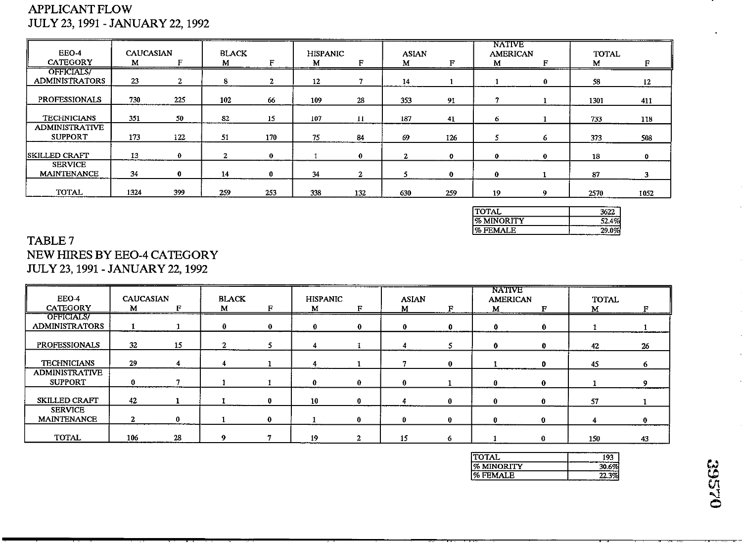### **APPLICANT FLOW JULY 23,199l -JANUARY 22,1992**

| EEO <sub>4</sub>                        | <b>CAUCASIAN</b> |              | <b>BLACK</b> |              | <b>HISPANIC</b> |              | <b>ASIAN</b> |     | <b>NATIVE</b><br><b>AMERICAN</b> |              | <b>TOTAL</b> |      |
|-----------------------------------------|------------------|--------------|--------------|--------------|-----------------|--------------|--------------|-----|----------------------------------|--------------|--------------|------|
| <b>CATEGORY</b>                         | М                |              | м            | Ħ            | M               | Е            | м            | Е   | M                                | F.           | M            |      |
| OFFICIALS/<br><b>ADMINISTRATORS</b>     | 23               | $\mathbf{2}$ | 8            |              | 12              |              | 14           |     |                                  | 0            | 58           | 12   |
| <b>PROFESSIONALS</b>                    | 730              | 225          | 102          | 66           | 109             | 28           | 353          | 91  |                                  |              | 1301         | 411  |
| <b>TECHNICIANS</b>                      | 351              | 50           | 82           | 15           | 107             | 11           | 187          | 41  | 6                                |              | 733          | 118  |
| <b>ADMINISTRATIVE</b><br><b>SUPPORT</b> | 173              | 122          | 51           | 170          | 75              | 84           | 69           | 126 |                                  | b.           | 373          | 508  |
| <b>SKILLED CRAFT</b>                    | 13               | $\bf{0}$     | $\mathbf{2}$ | $\mathbf{0}$ |                 | $\bf{0}$     | $2^{\circ}$  | 0   | $\mathbf 0$                      | $\mathbf{0}$ | 18           | 0    |
| <b>SERVICE</b><br><b>MAINTENANCE</b>    | 34               | 0            | 14           | 0            | 34              | $\mathbf{2}$ |              | 0   | $\bf{0}$                         |              | 87           | 3    |
| <b>TOTAL</b>                            | 1324             | 399          | 259          | 253          | 338             | 132          | 630          | 259 | 19                               | ą            | 2570         | 1052 |

| <b>TOTAL</b>      |  |
|-------------------|--|
| <b>% MINORITY</b> |  |
| % FEMALE          |  |

### TABLE 7 **NEW HIRES BY EEO-4 CATEGORY JULY 23,1991 -JANUARY 22,1992**

| EEO-4                                   | <b>CAUCASIAN</b> | Е        | <b>BLACK</b> | Р            | <b>HISPANIC</b> | Е            | <b>ASIAN</b> |    | <b>NATIVE</b><br><b>AMERICAN</b> |   | <b>TOTAL</b> |          |
|-----------------------------------------|------------------|----------|--------------|--------------|-----------------|--------------|--------------|----|----------------------------------|---|--------------|----------|
| <b>CATEGORY</b>                         | M                |          | M            |              | M               |              | M            | Ħ  | M                                | Е | м            |          |
| OFFICIALS/<br><b>ADMINISTRATORS</b>     |                  |          | 0            | $\mathbf 0$  | $\mathbf{0}$    | $\bf{0}$     |              |    | Ω                                | 0 |              |          |
| <b>PROFESSIONALS</b>                    | 32               | 15       | 2            |              |                 |              |              |    | 0                                | 0 | 42           | 26       |
| <b>TECHNICIANS</b>                      | 29               |          |              |              |                 |              |              |    |                                  | U | 45           | 6        |
| <b>ADMINISTRATIVE</b><br><b>SUPPORT</b> | $\mathbf 0$      |          |              |              | 0               | 0            | 0.           |    | 0                                | 0 |              |          |
| <b>SKILLED CRAFT</b>                    | 42               |          |              | $\mathbf{0}$ | 10              | 0            |              | 0  | $\mathbf 0$                      | 0 | 57           |          |
| <b>SERVICE</b><br><b>MAINTENANCE</b>    | $\mathbf{2}$     | $\bf{0}$ |              | $\mathbf{0}$ |                 | $\mathbf{0}$ | $\mathbf{0}$ | 0  | 0                                | 0 |              | $\bf{0}$ |
| <b>TOTAL</b>                            | 106              | 28       | ۰            |              | 19              | 2            | 15           | Ð. |                                  | 0 | 150          | 43       |

| <b>TOTAL</b> |  |
|--------------|--|
| % MINORITY   |  |
| % FEMALE     |  |

04568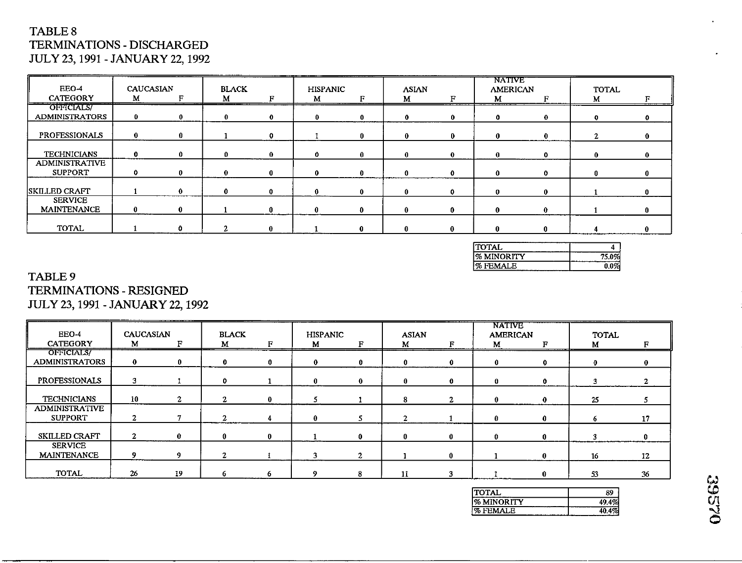#### **TABLE 8 TERMINATIONS - DISCHARGED JULY 23,1991 -JANUARY 22,1992**

| -------------<br>EEO-4                  | CAUCASIAN    |          | <b>BLACK</b> |          | <b>HISPANIC</b> |   | <b>ASIAN</b> |          | <b>NATIVE</b><br><b>AMERICAN</b> |   | <b>TOTAL</b> |          |
|-----------------------------------------|--------------|----------|--------------|----------|-----------------|---|--------------|----------|----------------------------------|---|--------------|----------|
| <b>CATEGORY</b>                         | M            |          | М            | Е        | М               | Е | м            |          | M                                | F | M            |          |
| OFFICIALS/<br><b>ADMINISTRATORS</b>     | $\mathbf{0}$ |          |              |          |                 |   |              |          |                                  |   |              |          |
|                                         |              | v        | $\bf{0}$     | 0        | $\bf{0}$        |   | 0            | 0.       | 0                                |   |              |          |
| <b>PROFESSIONALS</b>                    | $\mathbf{0}$ | ŋ        |              | 0        |                 |   | $\bf{0}$     | 0        | $\bf{0}$                         |   |              | 0        |
| <b>TECHNICIANS</b>                      | $\bf{0}$     | 0.       | 0.           | $\bf{0}$ | 0               |   | 0.           |          | $\mathbf 0$                      | 0 |              | 0.       |
| <b>ADMINISTRATIVE</b><br><b>SUPPORT</b> | $\mathbf{0}$ | 0        | $\bf{0}$     | 0        |                 |   | 0            | o        | $\mathbf 0$                      | 0 |              | IJ.      |
| <b>SKILLED CRAFT</b>                    |              | 0        | -0           | 0        |                 | 0 | 0            | 0        | $\mathbf 0$                      | 0 |              | 0        |
| <b>SERVICE</b><br><b>MAINTENANCE</b>    | $\mathbf 0$  | $\bf{0}$ |              | $\bf{0}$ |                 |   | v            | $\bf{0}$ | $\mathbf 0$                      | 0 |              | $\bf{0}$ |
| <b>TOTAL</b>                            |              | 0        |              | 0        |                 |   | 0            | 0        | $\mathbf{0}$                     | o |              |          |

| TOTA        |  |
|-------------|--|
| 1% MINORITY |  |
| % FEMALE    |  |

#### **TABLE 9 TERMINATIONS - RESIGNED JULY 23,1991 -JANUARY 22,1992**

| EEO-4                                   | CAUCASIAN    |    | <b>BLACK</b> |              | <b>HISPANIC</b> |                | <b>ASIAN</b> |    | <b>NATIVE</b><br><b>AMERICAN</b> |             | <b>TOTAL</b> |              |
|-----------------------------------------|--------------|----|--------------|--------------|-----------------|----------------|--------------|----|----------------------------------|-------------|--------------|--------------|
| <b>CATEGORY</b>                         | М            | R  | M            | R            | M               | Р              | М            | с  | M                                | Р           | М            | $\mathbf{r}$ |
| OFFICIALS/<br><b>ADMINISTRATORS</b>     | $\mathbf 0$  | 0  | 0            | 0            | $\bf{0}$        | -0             |              | 0  | -0                               | 0           |              | O.           |
|                                         |              |    |              |              |                 |                |              |    |                                  |             |              |              |
| <b>PROFESSIONALS</b>                    | 3            |    | 0            |              | 0               | 0              |              | o  | 0                                | 0           |              |              |
| <b>TECHNICIANS</b>                      | 10           |    |              | $\mathbf{0}$ |                 |                |              |    | $\mathbf 0$                      | 0           | 25           |              |
| <b>ADMINISTRATIVE</b><br><b>SUPPORT</b> |              |    |              |              | $\bf{0}$        |                | $\mathbf{2}$ |    | -0                               | 0           | Ð.           | 17           |
| <b>SKILLED CRAFT</b>                    | $\mathbf{z}$ | 0  |              | $\mathbf 0$  |                 | 0              | 0            | -0 | 0                                | 0           |              |              |
| <b>SERVICE</b><br><b>MAINTENANCE</b>    | 9            | 9  |              |              | э               | $\overline{2}$ |              | 0  |                                  | $\mathbf 0$ | 16           | 12           |
| <b>TOTAL</b>                            | 26           | 19 |              | n.           |                 |                | 11           |    |                                  | O           | 53           | 36           |

| 'TOTAI                | Rg |
|-----------------------|----|
| <b>NORITY</b><br>Yo.  |    |
| $\%$<br><b>FEMALE</b> |    |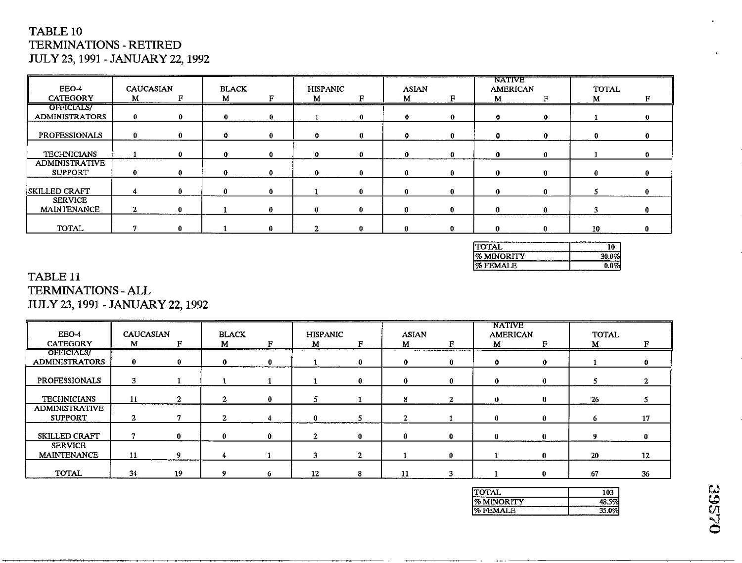#### **TABLE 10 TERMINATIONS - RETIRED JULY 23,1991 -JANUARY 22,1992**

| EEO 4                                | <b>CAUCASIAN</b> |   | <b>BLACK</b> |              | <b>HISPANIC</b> |              | <b>ASIAN</b> |              | <b>NATIVE</b><br><b>AMERICAN</b> |             | <b>TOTAL</b> |  |
|--------------------------------------|------------------|---|--------------|--------------|-----------------|--------------|--------------|--------------|----------------------------------|-------------|--------------|--|
| <b>CATEGORY</b>                      | М                |   | М            | ਸ            | м               | Е            | М            | F            | M                                |             | М            |  |
| OFFICIALS/<br><b>ADMINISTRATORS</b>  | $\mathbf{0}$     |   | 0            | $\mathbf{0}$ |                 |              | 0            | 0            |                                  | 0           |              |  |
| <b>PROFESSIONALS</b>                 | $\mathbf 0$      |   | 0            | $\mathbf{0}$ | 0               | $\mathbf{0}$ | 0            | $\mathbf{0}$ | $\mathbf 0$                      | $\mathbf 0$ | 0            |  |
| <b>TECHNICIANS</b>                   |                  | 0 | 0            | 0            |                 |              | 0            | 0            | $\mathbf{0}$                     | 0           |              |  |
| ADMINISTRATIVE<br><b>SUPPORT</b>     | $\mathbf{0}$     | 0 | $\bf{0}$     | 0            | $\mathbf{0}$    | $\bf{0}$     | 0            | $\bf{0}$     | $\mathbf 0$                      | 0           | 0            |  |
| <b>SKILLED CRAFT</b>                 |                  | 0 | 0            | $\bf{0}$     |                 |              |              | $\bf{0}$     | 0                                | 0           |              |  |
| <b>SERVICE</b><br><b>MAINTENANCE</b> | 2                | A |              | $\mathbf{0}$ |                 |              | o            | 0            | 0                                | 0           | 3            |  |
| <b>TOTAL</b>                         |                  | 0 |              | 0            |                 |              | 0            | 0            |                                  | n           | 10           |  |

| TOTAL             | ı٥ |
|-------------------|----|
| <b>% MINORITY</b> |    |
| % FEMALE          |    |

#### **TABLE 11 TERMINATIONS - ALL JULY 23,199l -JANUARY 22,1992**

| EEO-4                                   | <b>CAUCASIAN</b> | R  | <b>BLACK</b> |              | <b>HISPANIC</b> |               | <b>ASIAN</b> |   | <b>NATIVE</b><br><b>AMERICAN</b> |          | TOTAL |    |
|-----------------------------------------|------------------|----|--------------|--------------|-----------------|---------------|--------------|---|----------------------------------|----------|-------|----|
| <b>CATEGORY</b>                         | М                |    | м            | Ħ.           | M               | R             | м            | Е | М                                | R        | М     | в  |
| OFFICIALS/                              |                  |    |              |              |                 |               |              |   |                                  |          |       |    |
| <b>ADMINISTRATORS</b>                   | $\mathbf{0}$     |    | 0            | $\mathbf{0}$ |                 | 0             |              |   | 0                                | $\bf{0}$ |       |    |
| <b>PROFESSIONALS</b>                    | 3                |    |              |              |                 | 0             |              | 0 | -0                               | $\bf{0}$ |       |    |
| <b>TECHNICIANS</b>                      | 11               |    | 2            | $\mathbf{0}$ |                 |               |              | 2 | $\mathbf 0$                      | 0        | 26    |    |
| <b>ADMINISTRATIVE</b><br><b>SUPPORT</b> | $\mathbf{2}$     |    | 2            | 4            | 0               |               |              |   | 0                                | 0        | D.    | 17 |
| SKILLED CRAFT                           |                  |    | $\mathbf{0}$ | $\mathbf{0}$ |                 | 0             | 0            |   |                                  |          |       |    |
| <b>SERVICE</b><br><b>MAINTENANCE</b>    | 11               | Q  |              |              |                 | $\mathcal{D}$ |              |   |                                  |          | 20    | 12 |
| <b>TOTAL</b>                            | 34               | 19 |              | 6            | 12              | 8             | 11           |   |                                  |          | 67    | 36 |

| <b>TOTAL</b>   | 103 |
|----------------|-----|
| <b>INORITY</b> |     |
| ALE.<br>ч.     |     |

02.562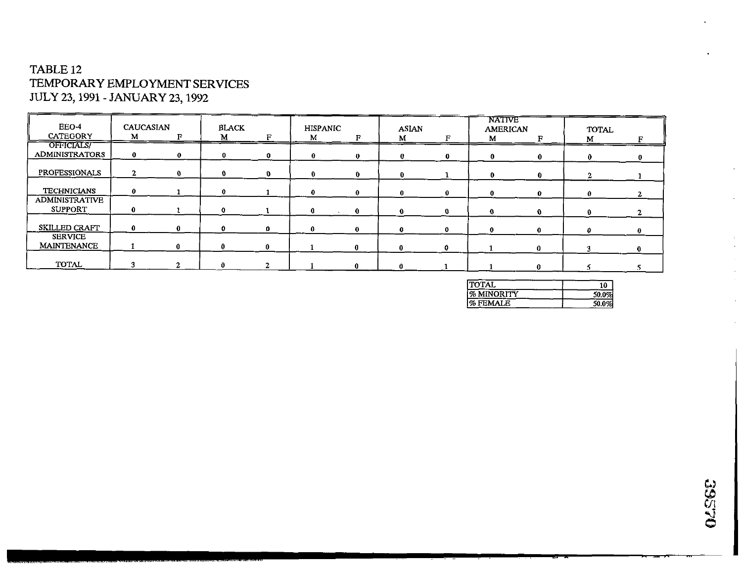### **TABLE 12 TEMPORARY EMPLOYMENT SERVICES JULY 23,1991 -JANUARY 23,1992**

| EEO-4<br><b>CATEGORY</b>                | <b>CAUCASIAN</b><br>M |   | <b>BLACK</b><br>м | R            | <b>HISPANIC</b><br>м | Ð            | <b>ASIAN</b><br>M |    | <b>NATIVE</b><br><b>AMERICAN</b><br>M | в | TOTAL<br>м |  |
|-----------------------------------------|-----------------------|---|-------------------|--------------|----------------------|--------------|-------------------|----|---------------------------------------|---|------------|--|
| OFFICIALS/<br><b>ADMINISTRATORS</b>     | 0                     |   | 0                 | 0            |                      | $\bf{0}$     | O.                | 0  | 0                                     | 0 |            |  |
| <b>PROFESSIONALS</b>                    |                       | 0 | и                 | 0            |                      | $\mathbf{0}$ | Û.                |    | Û                                     | 0 |            |  |
| <b>TECHNICIANS</b>                      | 0                     |   |                   |              | 0                    | $\mathbf{0}$ |                   | 0. | -0                                    | 0 |            |  |
| <b>ADMINISTRATIVE</b><br><b>SUPPORT</b> | 0                     |   |                   |              | 0                    | $\mathbf{0}$ | 0                 | 0. | $\mathbf{a}$                          | 0 |            |  |
| SKILLED CRAFT                           | 0                     |   |                   | 0            | 0                    | $\mathbf{0}$ | 0.                | 0  | $\mathbf{0}$                          | 0 |            |  |
| <b>SERVICE</b><br><b>MAINTENANCE</b>    |                       | 0 |                   | $\mathbf{0}$ |                      | 0            |                   |    |                                       | 0 |            |  |
| TOTAL                                   |                       |   |                   | 2            |                      | $\mathbf{0}$ |                   |    |                                       |   |            |  |

| <b>TOTAL</b> | 10 |
|--------------|----|
| % MINORITY   |    |
| % FEMALE     |    |

04569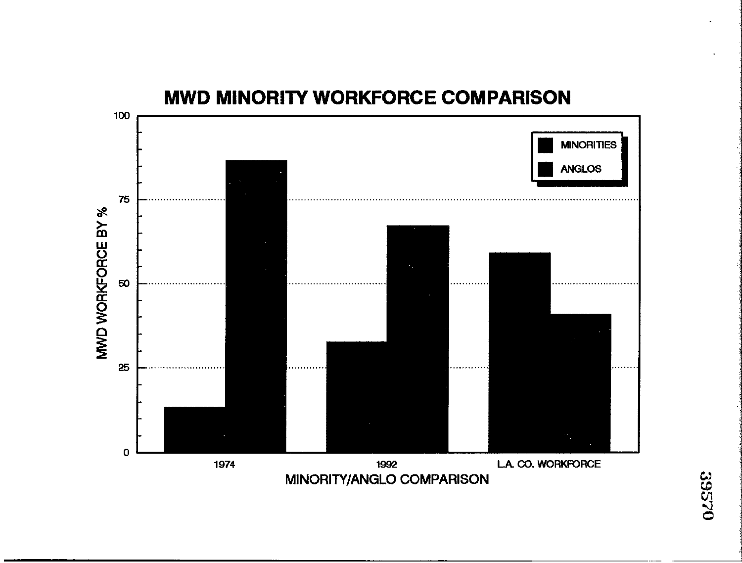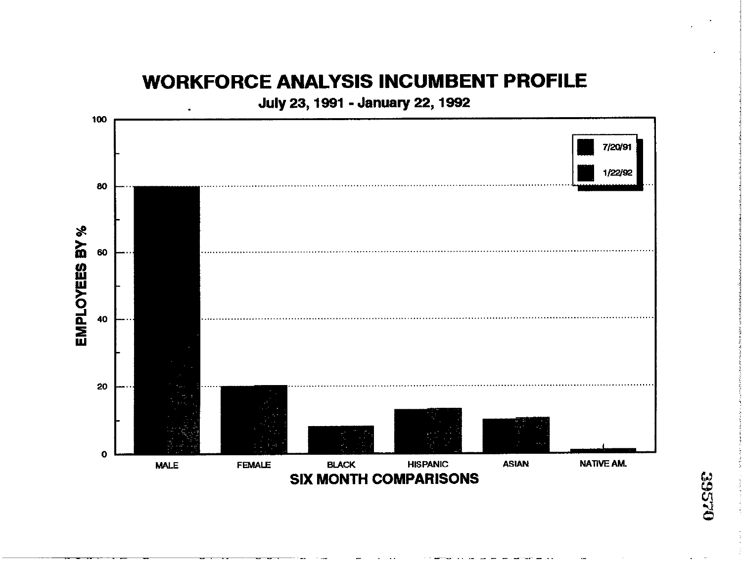

## **WORKFORCE ANALYSIS INCUMBENT PROFILE**

DZSGGC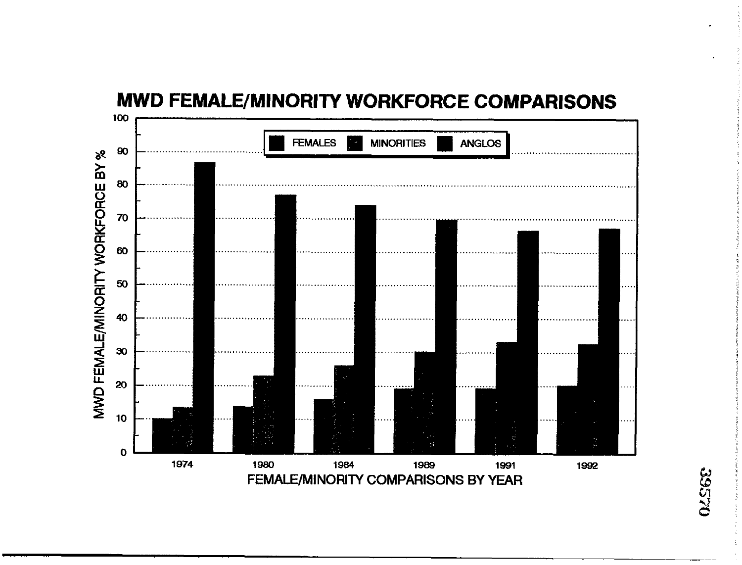

## **MWD FEMALE/MINORITY WORKFORCE COMPARISONS**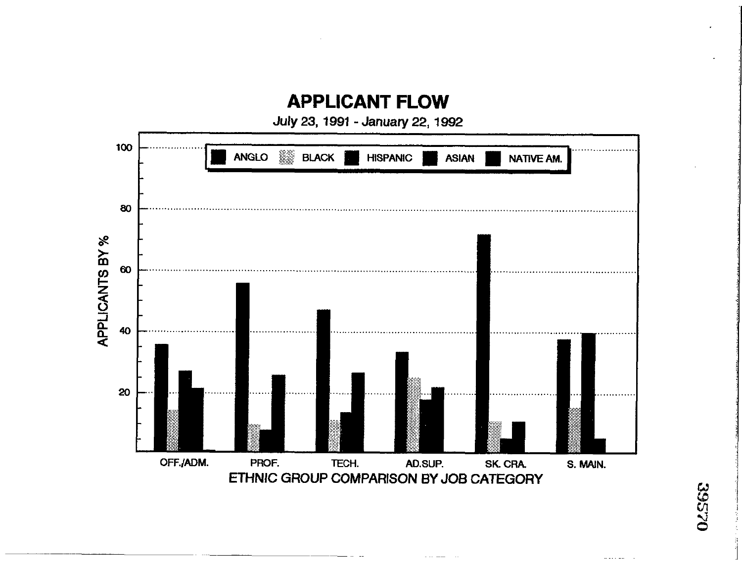## **APPLICANT FLOW**

July 23, 1991 - January 22, 1992

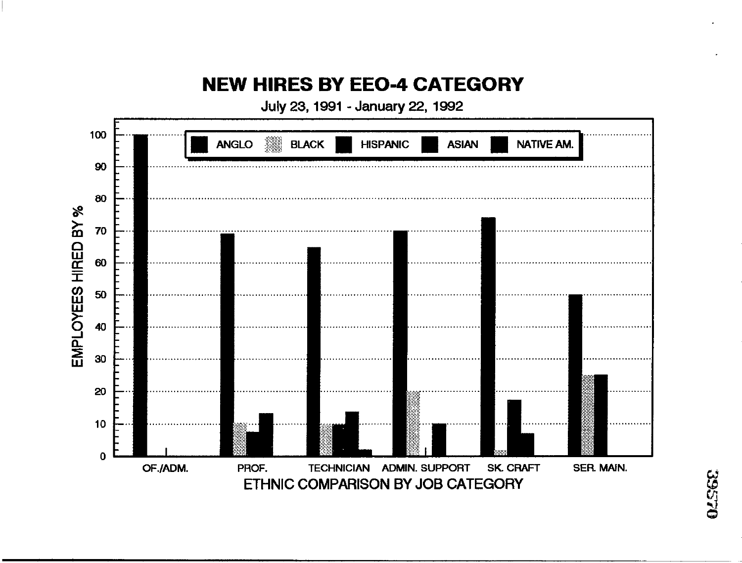## NEW HIRES BY EEO-4 CATEGORY

**July 23,199l - January 22, 1992** 

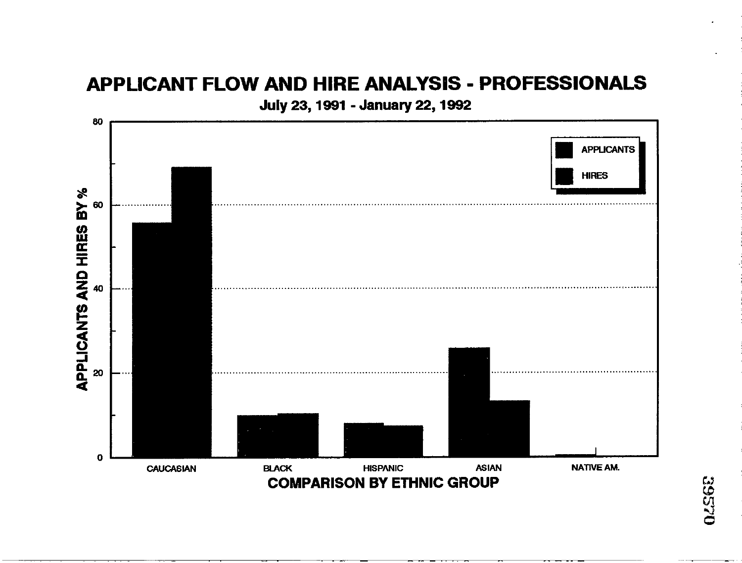# APPLICANT FLOW AND HIRE ANALYSIS - PROFESSIONALS

July 23,199l - January 22,1992



-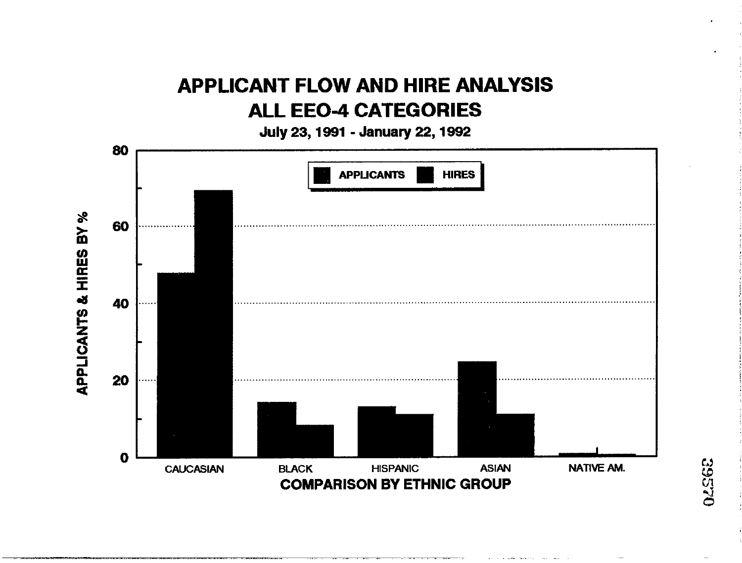# **APPLICANT FLOW AND HIRE ANALYSIS ALL EEO-4 CATEGORIES**

July 23, 1991 - January 22, 1992

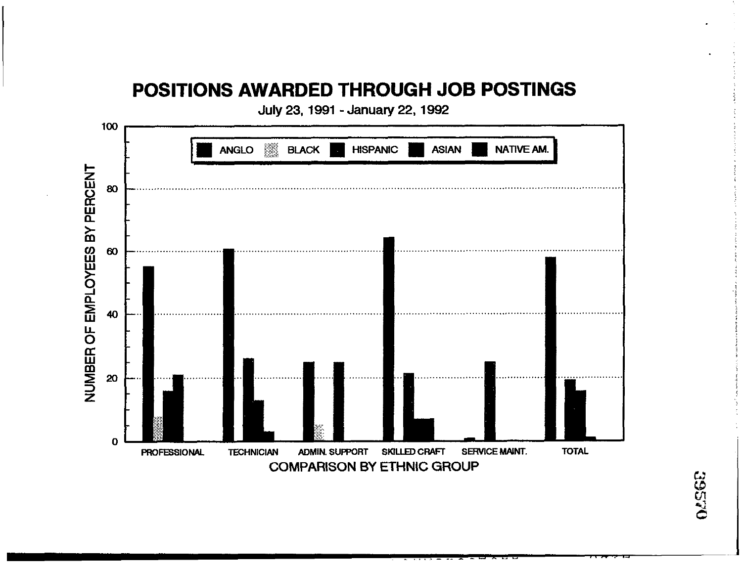### POSITIONS AWARDED THROUGH JOB POSTINGS

July 23, 1991 - January 22, 1992

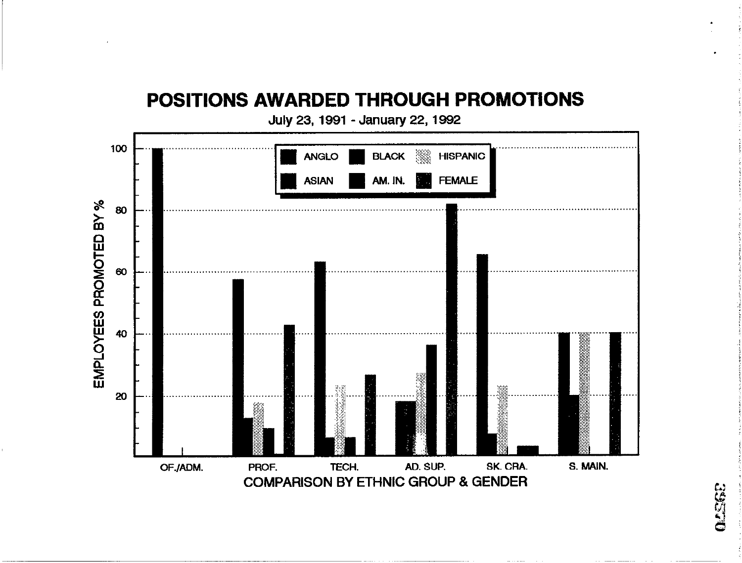## POSITIONS AWARDED THROUGH PROMOTIONS

July 23, 1991 - January 22, 1992



**OLISGED**